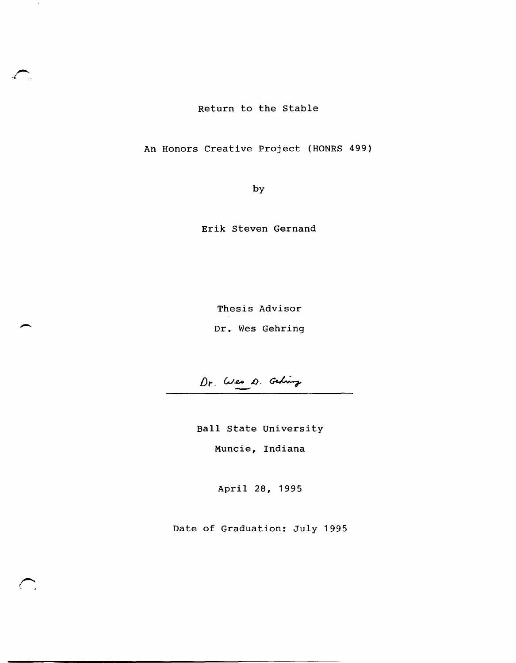Return to the Stable

 $\sim 10$ 

An Honors Creative Project (HONRS 499)

by

Erik Steven Gernand

Thesis Advisor Thesis Advisor<br>Dr. Wes Gehring

Dr. Wes D. Gehing

Ball State University

Muncie, Indiana

April 28, 1995

Date of Graduation: July 1995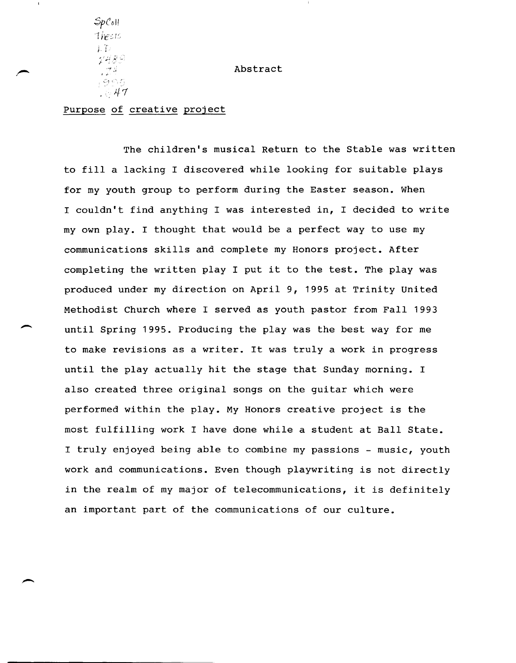SpCoH 'Tie:: I:,  $\mathcal{F}$ . -  $\sim$   $\mu$ I"·  $\therefore$  47

 $\overline{\phantom{a}}$ 

Abstract

# Purpose of creative project

The children's musical Return to the Stable was written to fill a lacking I discovered while looking for suitable plays for my youth group to perform during the Easter season. When I couldn't find anything I was interested in, I decided to write my own play. I thought that would be a perfect way to use my communications skills and complete my Honors project. After completing the written play I put it to the test. The play was produced under my direction on April 9, 1995 at Trinity United Methodist Church where I served as youth pastor from Fall 1993 until Spring 1995. Producing the play was the best way for me to make revisions as a writer. It was truly a work in progress until the play actually hit the stage that Sunday morning. I also created three original songs on the guitar which were performed within the play. My Honors creative project is the most fulfilling work I have done while a student at Ball State. I truly enjoyed being able to combine my passions - music, youth work and communications. Even though playwriting is not directly in the realm of my major of telecommunications, it is definitely an important part of the communications of our culture.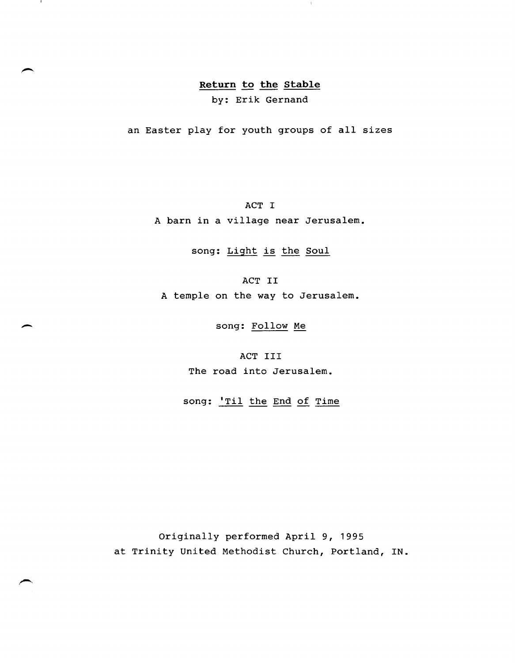# **Return to the Stable**

 $\overline{1}$ 

- 1

by: Erik Gernand

an Easter play for youth groups of all sizes

ACT I

A barn in a village near Jerusalem.

song: Light is the Soul

ACT II A temple on the way to Jerusalem.

- song: Follow Me

ACT III The road into Jerusalem.

song: 'Til the End of Time

Originally performed April 9, 1995 at Trinity United Methodist Church, Portland, IN.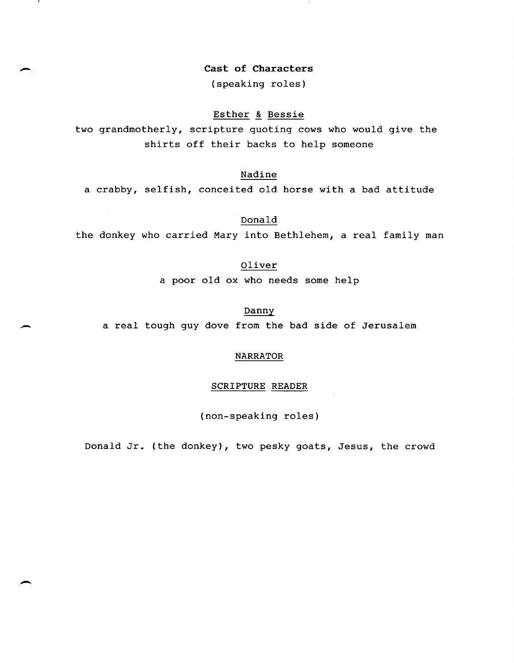**cast of Characters** 

 $\overline{\phantom{a}}$ 

 $\mathbf{I}$ 

-

--

(speaking roles)

# Esther & Bessie

two grandmotherly, scripture quoting cows who would give the shirts off their backs to help someone

Nadine

a crabby, selfish, conceited old horse with a bad attitude

Donald

the donkey who carried Mary into Bethlehem, a real family man

Oliver

a poor old ox who needs some help

Danny a real tough guy dove from the bad side of Jerusalem

# NARRATOR

# SCRIPTURE READER

(non-speaking roles)

Donald Jr. (the donkey), two pesky goats, Jesus, the crowd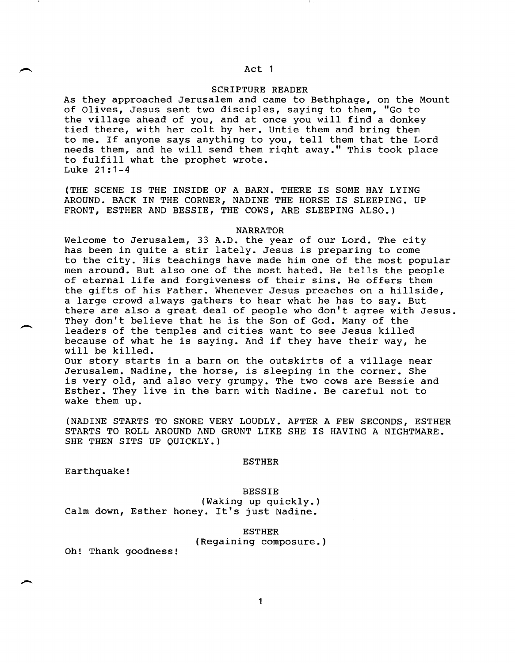# Act 1

# SCRIPTURE READER

As they approached Jerusalem and came to Bethphage, on the Mount of Olives, Jesus sent two disciples, saying to them, "Go to the village ahead of you, and at once you will find a donkey tied there, with her colt by her. Untie them and bring them to me. If anyone says anything to you, tell them that the Lord needs them, and he will send them right away." This took place to fulfill what the prophet wrote. Luke 21:1-4

(THE SCENE IS THE INSIDE OF A BARN. THERE IS SOME HAY LYING AROUND. BACK IN THE CORNER, NADINE THE HORSE IS SLEEPING. UP FRONT, ESTHER AND BESSIE, THE COWS, ARE SLEEPING ALSO.)

#### NARRATOR

Welcome to Jerusalem, 33 A.D. the year of our Lord. The city has been in quite a stir lately. Jesus is preparing to come to the city. His teachings have made him one of the most popular men around. But also one of the most hated. He tells the people of eternal life and forgiveness of their sins. He offers them the gifts of his Father. Whenever Jesus preaches on a hillside, a large crowd always gathers to hear what he has to say. But there are also a great deal of people who don't agree with Jesus. They don't believe that he is the Son of God. Many of the leaders of the temples and cities want to see Jesus killed because of what he is saying. And if they have their way, he will be killed. Our story starts in a barn on the outskirts of a village near

Jerusalem. Nadine, the horse, is sleeping in the corner. She is very old, and also very grumpy. The two cows are Bessie and Esther. They live in the barn with Nadine. Be careful not to wake them up.

(NADINE STARTS TO SNORE VERY LOUDLY. AFTER A FEW SECONDS, ESTHER STARTS TO ROLL AROUND AND GRUNT LIKE SHE IS HAVING A NIGHTMARE. SHE THEN SITS UP QUICKLY.)

#### ESTHER

Earthquake!

 $\overline{\phantom{a}}$ 

 $\overline{\phantom{a}}$ 

BESSIE (Waking up quickly.) Calm down, Esther honey. It's just Nadine.

#### ESTHER

(Regaining composure.)

Oh! Thank goodness!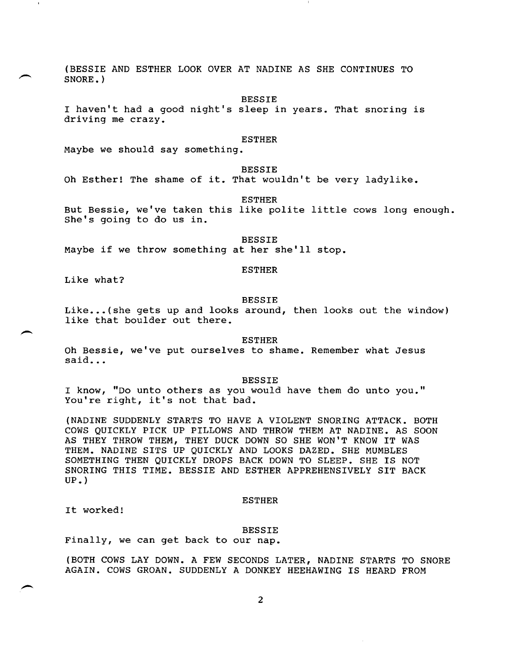(BESSIE AND ESTHER LOOK OVER AT NADINE AS SHE CONTINUES TO SNORE. )

**BESSTE** 

I haven't had a good night's sleep in years. That snoring is driving me crazy.

# ESTHER

Maybe we should say something.

BESSIE

Oh Esther! The shame of it. That wouldn't be very ladylike.

ESTHER

But Bessie, we've taken this like polite little cows long enough. She's going to do us in.

BESSIE Maybe if we throw something at her she'll stop.

ESTHER

Like what?

 $\overline{\phantom{0}}$ 

#### BESSIE

Like...(she gets up and looks around, then looks out the window) like that boulder out there.

ESTHER

Oh Bessie, we've put ourselves to shame. Remember what Jesus said...

#### BESSIE

I know, "Do unto others as you would have them do unto you." You're right, it's not that bad.

(NADINE SUDDENLY STARTS TO HAVE A VIOLENT SNORING ATTACK. BOTH COWS QUICKLY PICK UP PILLOWS AND THROW THEM AT NADINE. AS SOON AS THEY THROW THEM, THEY DUCK DOWN SO SHE WON'T KNOW IT WAS THEM. NADINE SITS UP QUICKLY AND LOOKS DAZED. SHE MUMBLES SOMETHING THEN QUICKLY DROPS BACK DOWN TO SLEEP. SHE IS NOT SNORING THIS TIME. BESSIE AND ESTHER APPREHENSIVELY SIT BACK UP. )

#### ESTHER

It worked!

#### BESSIE

Finally, we can get back to our nap.

(BOTH COWS LAY DOWN. A FEW SECONDS LATER, NADINE STARTS TO SNORE AGAIN. COWS GROAN. SUDDENLY A DONKEY HEEHAWING IS HEARD FROM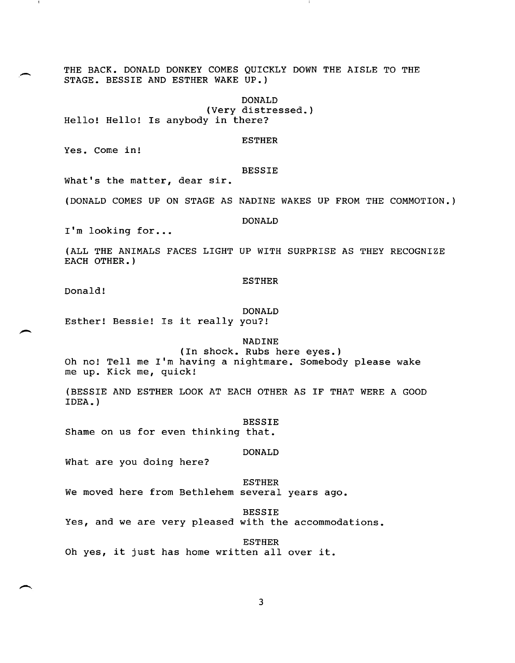THE BACK. DONALD DONKEY COMES QUICKLY DOWN THE AISLE TO THE STAGE. BESSIE AND ESTHER WAKE UP.)

DONALD (Very distressed.) Hello! Hello! Is anybody in there?

ESTHER

Yes. Come in!

## BESSIE

What's the matter, dear sir.

(DONALD COMES UP ON STAGE AS NADINE WAKES UP FROM THE COMMOTION.)

DONALD

I'm looking for...

(ALL THE ANIMALS FACES LIGHT UP WITH SURPRISE AS THEY RECOGNIZE EACH OTHER.)

#### ESTHER

Donald!

#### DONALD

Esther! Bessie! Is it really you?!

### NADINE

(In shock. Rubs here eyes.)

Oh no! Tell me I'm having a nightmare. Somebody please wake me up. Kick me, quick!

(BESSIE AND ESTHER LOOK AT EACH OTHER AS IF THAT WERE A GOOD IDEA. )

BESSIE

Shame on us for even thinking that.

#### DONALD

What are you doing here?

#### ESTHER

We moved here from Bethlehem several years ago.

#### BESSIE

Yes, and we are very pleased with the accommodations.

ESTHER

Oh yes, it just has home written all over it.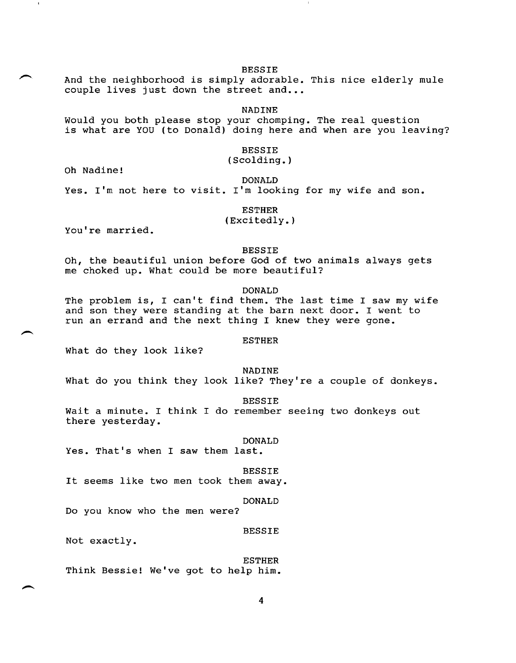BESSIE

And the neighborhood is simply adorable. This nice elderly mule couple lives just down the street and...

NADINE

Would you both please stop your chomping. The real question is what are YOU (to Donald) doing here and when are you leaving?

BESSIE

( Scolding. )

Oh Nadine!

DONALD

Yes. I'm not here to visit. I'm looking for my wife and son.

ESTHER

(Exci tedly. )

You're married.

# BESSIE

Oh, the beautiful union before God of two animals always gets me choked up. What could be more beautiful?

DONALD

The problem is, I can't find them. The last time I saw my wife and son they were standing at the barn next door. I went to run an errand and the next thing I knew they were gone.

#### ESTHER

What do they look like?

NADINE

What do you think they look like? They're a couple of donkeys.

BESSIE

Wait a minute. I think I do remember seeing two donkeys out there yesterday.

DONALD

Yes. That's when I saw them last.

BESSIE

It seems like two men took them away.

## DONALD

Do you know who the men were?

BESSIE

Not exactly.

# ESTHER

Think Bessie! We've got to help him.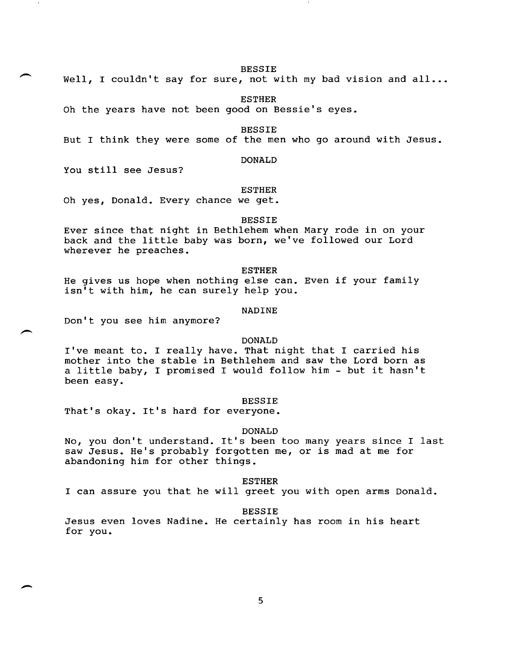BESSIE

Well, I couldn't say for sure, not with my bad vision and all...

ESTHER

Oh the years have not been good on Bessie's eyes.

BESSIE

But I think they were some of the men who go around with Jesus.

## DONALD

You still see Jesus?

#### ESTHER

Oh yes, Donald. Every chance we get.

#### BESSIE

Ever since that night in Bethlehem when Mary rode in on your back and the little baby was born, we've followed our Lord wherever he preaches.

#### ESTHER

He gives us hope when nothing else can. Even if your family isn't with him, he can surely help you.

# NADINE

Don't you see him anymore?

## DONALD

I've meant to. I really have. That night that I carried his mother into the stable in Bethlehem and saw the Lord born as a little baby, I promised I would follow him - but it hasn't been easy.

#### BESSIE

That's okay. It's hard for everyone.

## DONALD

No, you don't understand. It's been too many years since I last saw Jesus. He's probably forgotten me, or is mad at me for abandoning him for other things.

#### ESTHER

I can assure you that he will greet you with open arms Donald.

#### BESSIE

Jesus even loves Nadine. He certainly has room in his heart for you.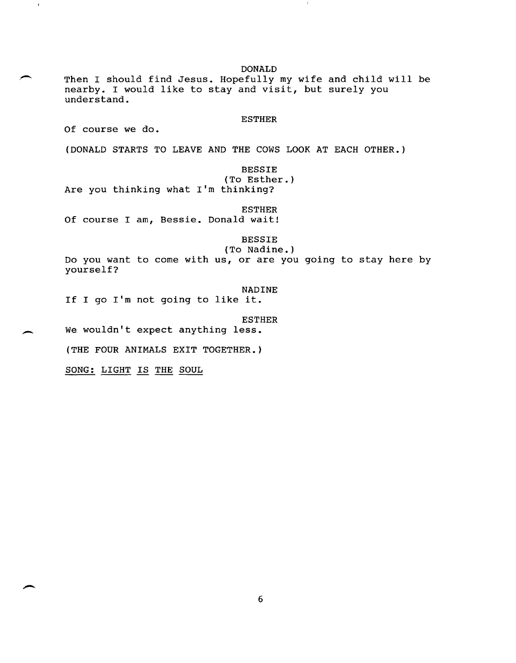DONALD Then I should find Jesus. Hopefully my wife and child will be nearby. I would like to stay and visit, but surely you understand. **ESTHER** Of course we do. (DONALD STARTS TO LEAVE AND THE COWS LOOK AT EACH OTHER.) **BESSIE** (To Esther.) Are you thinking what I'm thinking? ESTHER Of course I am, Bessie. Donald wait! BESSIE (To Nadine.) Do you want to come with us, or are you going to stay here by yourself? NADINE If I go I'm not going to like it. ESTHER We wouldn't expect anything less. (THE FOUR ANIMALS EXIT TOGETHER.) SONG: LIGHT IS THE SOUL

 $\mathbf{1}$ 

6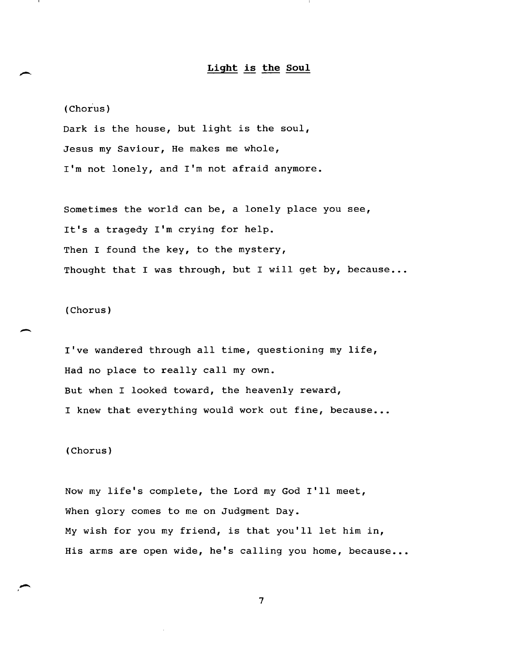# **Light is the Soul**

(Chorus)

Dark is the house, but light is the soul, Jesus my Saviour, He makes me whole, I'm not lonely, and I'm not afraid anymore.

Sometimes the world can be, a lonely place you see, It's a tragedy I'm crying for help. Then I found the key, to the mystery, Thought that I was through, but I will get by, because...

(Chorus)

I've wandered through all time, questioning my life, Had no place to really call my own. But when I looked toward, the heavenly reward, I knew that everything would work out fine, because...

(Chorus)

Now my life's complete, the Lord my God **I'll** meet, When glory comes to me on Judgment Day. My wish for you my friend, is that you'll let him in, His arms are open wide, he's calling you home, because...

7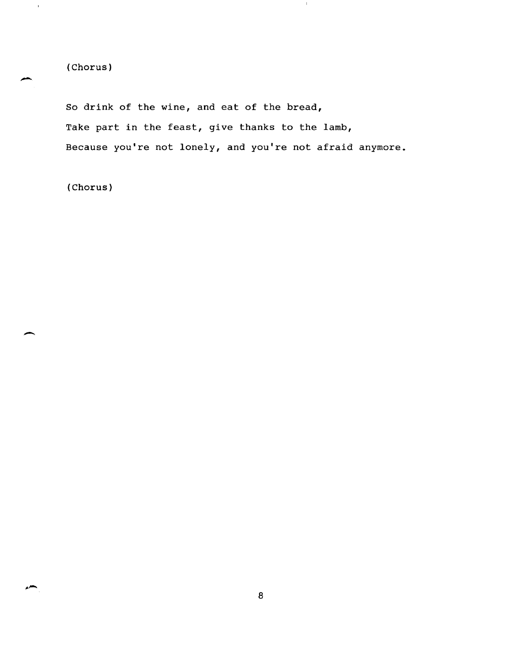(Chorus)

 $\mathcal{A}$ 

So drink of the wine, and eat of the bread, Take part in the feast, give thanks to the lamb, Because you're not lonely, and you're not afraid anymore.

**T** 

(Chorus)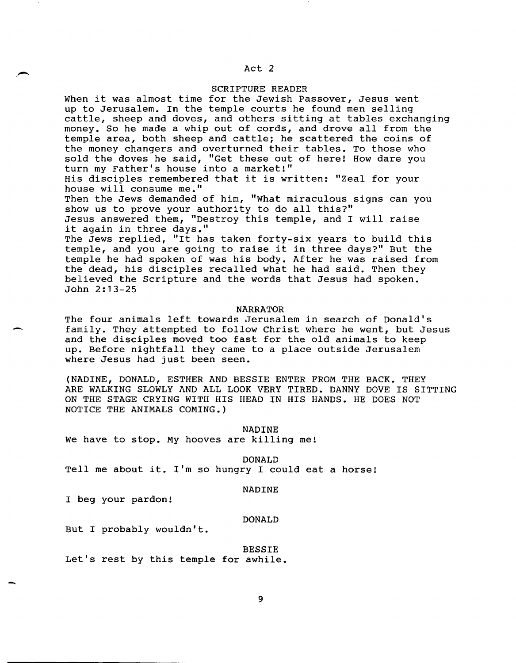# Act 2

# SCRIPTURE READER

When it was almost time for the Jewish Passover, Jesus went up to Jerusalem. In the temple courts he found men selling cattle, sheep and doves, and others sitting at tables exchanging money. So he made a whip out of cords, and drove all from the temple area, both sheep and cattle; he scattered the coins of the money changers and overturned their tables. To those who sold the doves he said, "Get these out of here! How dare you turn my Father's house into a market!" His disciples remembered that it is written: "Zeal for your house will consume me."

Then the Jews demanded of him, "What miraculous signs can you show us to prove your authority to do all this?" Jesus answered them, "Destroy this temple, and I will raise it again in three days."

The Jews replied, "It has taken forty-six years to build this temple, and you are going to raise it in three days?" But the temple he had spoken of was his body. After he was raised from the dead, his disciples recalled what he had said. Then they believed the Scripture and the words that Jesus had spoken. John 2:13-25

# NARRATOR

The four animals left towards Jerusalem in search of Donald's family. They attempted to follow Christ where he went, but Jesus and the disciples moved too fast for the old animals to keep up. Before nightfall they came to a place outside Jerusalem where Jesus had just been seen.

(NADINE, DONALD, ESTHER AND BESSIE ENTER FROM THE BACK. THEY ARE WALKING SLOWLY AND ALL LOOK VERY TIRED. DANNY DOVE IS SITTING ON THE STAGE CRYING WITH HIS HEAD IN HIS HANDS. HE DOES NOT NOTICE THE ANIMALS COMING.)

NADINE

We have to stop. My hooves are killing me!

DONALD

Tell me about it. I'm so hungry I could eat a horse!

#### NADINE

I beg your pardon!

-

#### DONALD

But I probably wouldn't.

BESSIE

Let's rest by this temple for awhile.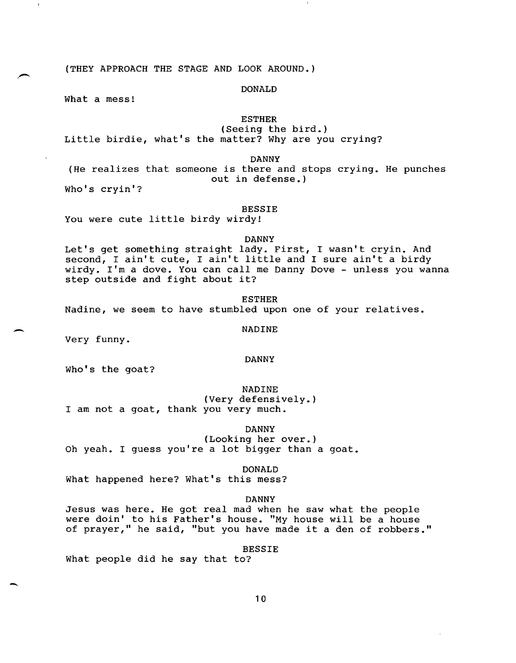(THEY APPROACH THE STAGE AND LOOK AROUND.)

DONALD

What a mess!

## ESTHER

(Seeing the bird.) Little birdie, what's the matter? Why are you crying?

DANNY

(He realizes that someone is there and stops crying. He punches out in defense.)

Who's cryin'?

# BESSIE

You were cute little birdy wirdy!

DANNY

Let's get something straight lady. First, I wasn't cryin. And second, I ain't cute, I ain't little and I sure ain't a birdy wirdy. I'm a dove. You can call me Danny Dove - unless you wanna step outside and fight about it?

ESTHER Nadine, we seem to have stumbled upon one of your relatives.

NADINE

Very funny.

-

-

#### DANNY

Who's the goat?

NADINE (Very defensively.) I am not a goat, thank you very much.

# DANNY

(Looking her over.) Oh yeah. I guess you're a lot bigger than a goat.

# DONALD

What happened here? What's this mess?

# DANNY

Jesus was here. He got real mad when he saw what the people were doin' to his Father's house. "My house will be a house of prayer," he said, "but you have made it a den of robbers."

BESSIE

What people did he say that to?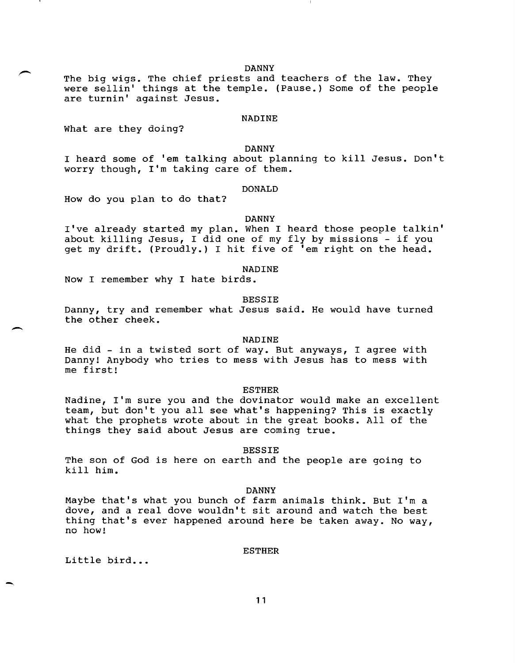DANNY

The big wigs. The chief priests and teachers of the law. They were sellin' things at the temple. (Pause.) Some of the people are turnin' against Jesus.

#### NADINE

What are they doing?

DANNY

I heard some of 'em talking about planning to kill Jesus. Don't worry though, 11m taking care of them.

# DONALD

How do you plan to do that?

#### DANNY

I've already started my plan. When I heard those people talkin' about killing Jesus, I did one of my fly by missions - if you get my drift. (Proudly.) I hit five of 'em right on the head.

# NADINE

Now I remember why I hate birds.

#### BESSIE

Danny, try and remember what Jesus said. He would have turned the other cheek.

#### NADINE

He did - in a twisted sort of way. But anyways, I agree with Danny! Anybody who tries to mess with Jesus has to mess with me first!

# ESTHER

Nadine, I'm sure you and the dovinator would make an excellent team, but don't you all see what's happening? This is exactly what the prophets wrote about in the great books. All of the things they said about Jesus are coming true.

#### BESSIE

The son of God is here on earth and the people are going to kill him.

#### DANNY

Maybe that's what you bunch of farm animals think. But I'm a dove, and a real dove wouldn't sit around and watch the best thing that's ever happened around here be taken away. No way, no how!

# ESTHER

Little bird...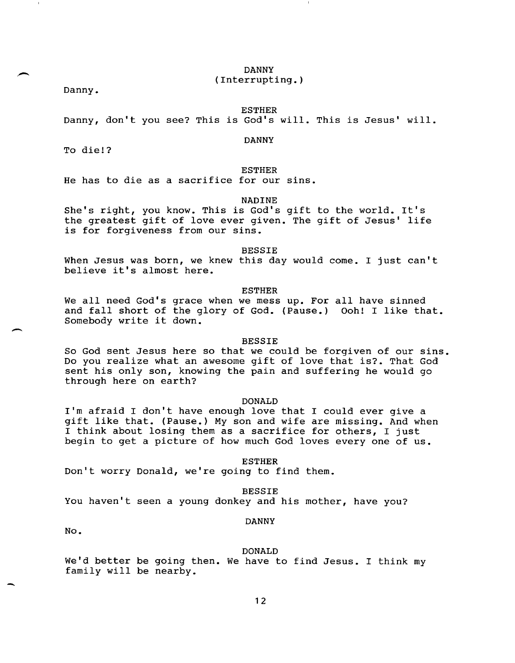DANNY (Interrupting.)

Danny.

ESTHER

Danny, don't you see? This is God's will. This is Jesus' will.

DANNY

To die!?

ESTHER

He has to die as a sacrifice for our sins.

NADINE

She's right, you know. This is God's gift to the world. It's the greatest gift of love ever given. The gift of Jesus' life is for forgiveness from our sins.

BESSIE

When Jesus was born, we knew this day would come. I just can't believe it's almost here.

ESTHER

We all need God's grace when we mess up. For all have sinned and fall short of the glory of God. (Pause.) Ooh! I like that. Somebody write it down.

# BESSIE

So God sent Jesus here so that we could be forgiven of our sins. Do you realize what an awesome gift of love that is?. That God sent his only son, knowing the pain and suffering he would go through here on earth?

#### DONALD

I'm afraid I don't have enough love that I could ever give a gift like that. (Pause.) My son and wife are missing. And when I think about losing them as a sacrifice for others, I just begin to get a picture of how much God loves every one of us.

ESTHER

Don't worry Donald, we're going to find them.

BESSIE

You haven't seen a young donkey and his mother, have you?

## DANNY

No.

 $\overline{\phantom{a}}$ 

-

## DONALD

We'd better be going then. We have to find Jesus. I think my family will be nearby.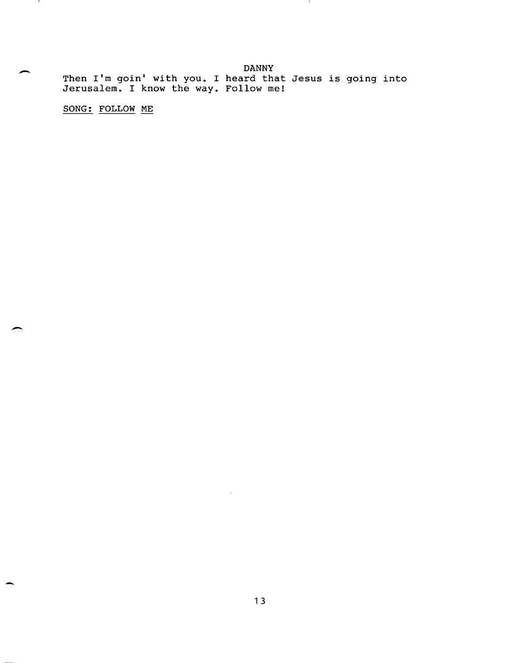DANNY Then I'm goin' with you. I heard that Jesus is going into Jerusalem. I know the way. Follow me!

 $\mathbf{1}$ 

SONG: FOLLOW ME

-

 $\mathbf{I}$ 

 $\overline{\phantom{0}}$ 

-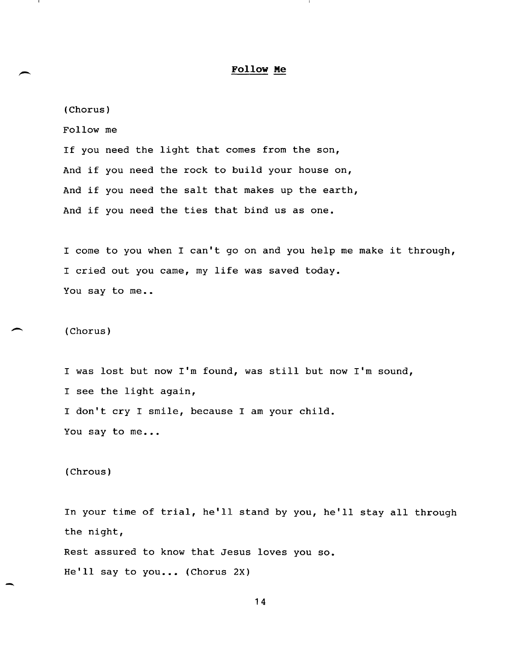# **Follow Me**

(Chorus) Follow me If you need the light that comes from the son, And if you need the rock to build your house on, And if you need the salt that makes up the earth, And if you need the ties that bind us as one.

I come to you when I can't go on and you help me make it through, I cried out you came, my life was saved today. You say to me..

(Chorus)

 $\overline{\phantom{a}}$ 

-

I was lost but now I'm found, was still but now I'm sound, I see the light again, I don't cry I smile, because I am your child. You say to me...

# (Chrous)

In your time of trial, he'll stand by you, he'll stay all through the night, Rest assured to know that Jesus loves you so. He'll say to you... (Chorus 2X)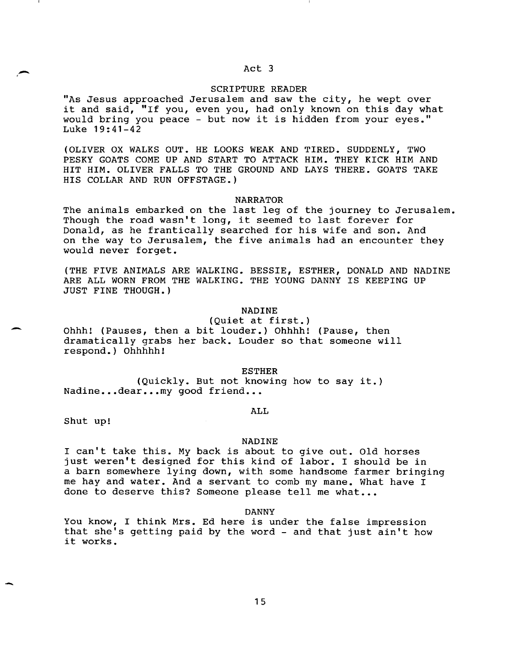# Act 3

# SCRIPTURE READER

"As Jesus approached Jerusalem and saw the city, he wept over it and said, "If you, even you, had only known on this day what would bring you peace - but now it is hidden from your eyes." Luke 19:41-42

(OLIVER OX WALKS OUT. HE LOOKS WEAK AND TIRED. SUDDENLY, TWO PESKY GOATS COME UP AND START TO ATTACK HIM. THEY KICK HIM AND HIT HIM. OLIVER FALLS TO THE GROUND AND LAYS THERE. GOATS TAKE HIS COLLAR AND RUN OFFSTAGE.)

## NARRATOR

The animals embarked on the last leg of the journey to Jerusalem. Though the road wasn't long, it seemed to last forever for Donald, as he frantically searched for his wife and son. And on the way to Jerusalem, the five animals had an encounter they would never forget.

(THE FIVE ANIMALS ARE WALKING. BESSIE, ESTHER, DONALD AND NADINE ARE ALL WORN FROM THE WALKING. THE YOUNG DANNY IS KEEPING UP JUST FINE THOUGH.)

# NADINE

(Quiet at first.) Ohhh! (Pauses, then a bit louder.) Ohhhh! (Pause, then dramatically grabs her back. Louder so that someone will respond.) Ohhhhh!

ESTHER

(Quickly. But not knowing how to say it.) Nadine...dear...my good friend...

#### ALL

Shut up!

,-

-

-

#### NADINE

I can't take this. My back is about to give out. Old horses just weren't designed for this kind of labor. I should be in a barn somewhere lying down, with some handsome farmer bringing me hay and water. And a servant to comb my mane. What have I done to deserve this? Someone please tell me what...

DANNY

You know, I think Mrs. Ed here is under the false impression that she's getting paid by the word - and that just ain't how it works.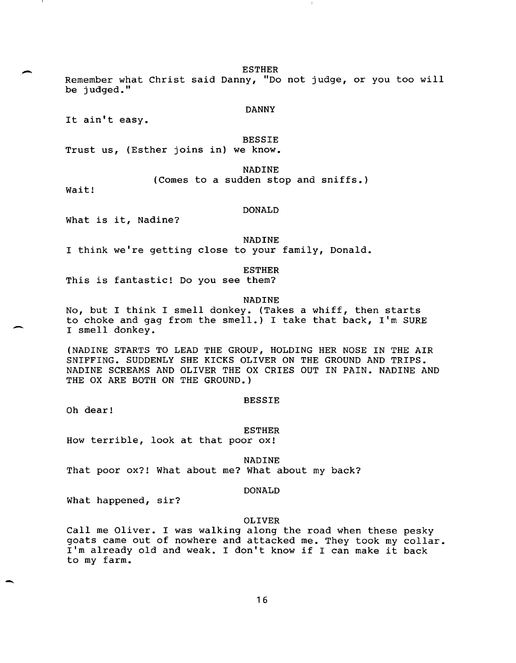ESTHER

Remember what Christ said Danny, "Do not judge, or you too will be judged."

DANNY

It ain't easy.

BESSIE

Trust us, (Esther joins in) we know.

NADINE

(Comes to a sudden stop and sniffs.)

Wait!

.-

-

-

# DONALD

What is it, Nadine?

NADINE

I think we're getting close to your family, Donald.

ESTHER

This is fantastic! Do you see them?

#### NADINE

No, but I think I smell donkey. (Takes a whiff, then starts to choke and gag from the smell.) I take that back, I'm SURE I smell donkey.

(NADINE STARTS TO LEAD THE GROUP, HOLDING HER NOSE IN THE AIR SNIFFING. SUDDENLY SHE KICKS OLIVER ON THE GROUND AND TRIPS. NADINE SCREAMS AND OLIVER THE OX CRIES OUT IN PAIN. NADINE AND THE OX ARE BOTH ON THE GROUND.)

#### BESSIE

Oh dear!

ESTHER How terrible, look at that poor ox!

NADINE That poor ox?! What about me? what about my back?

#### DONALD

what happened, sir?

#### OLIVER

Call me Oliver. I was walking along the road when these pesky goats came out of nowhere and attacked me. They took my collar. I'm already old and weak. I don't know if I can make it back to my farm.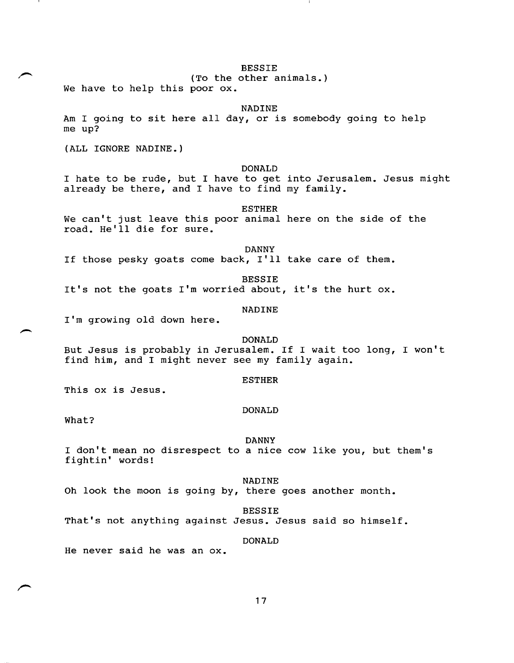BESSIE

(To the other animals.)

We have to help this poor ox.

NADINE

Am I going to sit here all day, or is somebody going to help me up?

(ALL IGNORE NADINE.)

# DONALD

I hate to be rude, but I have to get into Jerusalem. Jesus might already be there, and I have to find my family.

# ESTHER

We can't just leave this poor animal here on the side of the road. He'll die for sure.

DANNY

If those pesky goats come back,  $I'11$  take care of them.

BESSIE

It's not the goats I'm worried about, it's the hurt ox.

NADINE

I'm growing old down here.

## DONALD

But Jesus is probably in Jerusalem. If I wait too long, I won't find him, and I might never see my family again.

#### ESTHER

This ox is Jesus.

#### DONALD

What?

#### DANNY

I don't mean no disrespect to a nice cow like you, but them's fightin' words!

## NADINE

Oh look the moon is going by, there goes another month.

BESSIE

That's not anything against Jesus. Jesus said so himself.

# DONALD

He never said he was an ox.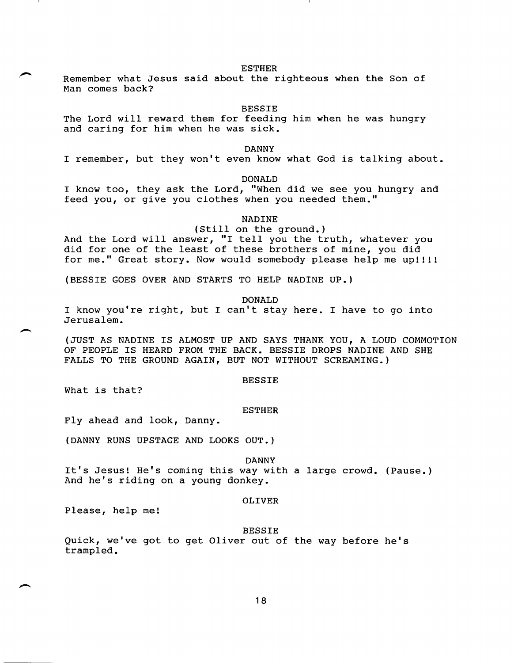#### ESTHER

Remember what Jesus said about the righteous when the Son of Man comes back?

#### BESSIE

The Lord will reward them for feeding him when he was hungry and caring for him when he was sick.

## DANNY

I remember, but they won't even know what God is talking about.

DONALD

I know too, they ask the Lord, "When did we see you hungry and feed you, or give you clothes when you needed them."

NADINE

# (Still on the ground.)

And the Lord will answer, "I tell you the truth, whatever you did for one of the least of these brothers of mine, you did for me." Great story. Now would somebody please help me up!!!!

(BESSIE GOES OVER AND STARTS TO HELP NADINE UP.)

#### DONALD

I know you're right, but I can't stay here. I have to go into Jerusalem.

(JUST AS NADINE IS ALMOST UP AND SAYS THANK YOU, A LOUD COMMOTION OF PEOPLE IS HEARD FROM THE BACK. BESSIE DROPS NADINE AND SHE FALLS TO THE GROUND AGAIN, BUT NOT WITHOUT SCREAMING.)

#### BESSIE

What is that?

#### ESTHER

Fly ahead and look, Danny.

(DANNY RUNS UPSTAGE AND LOOKS OUT.)

DANNY

It's Jesus! He's coming this way with a large crowd. (Pause.) And he's riding on a young donkey.

# OLIVER

Please, help me!

BESSIE

Quick, we've got to get Oliver out of the way before he's trampled.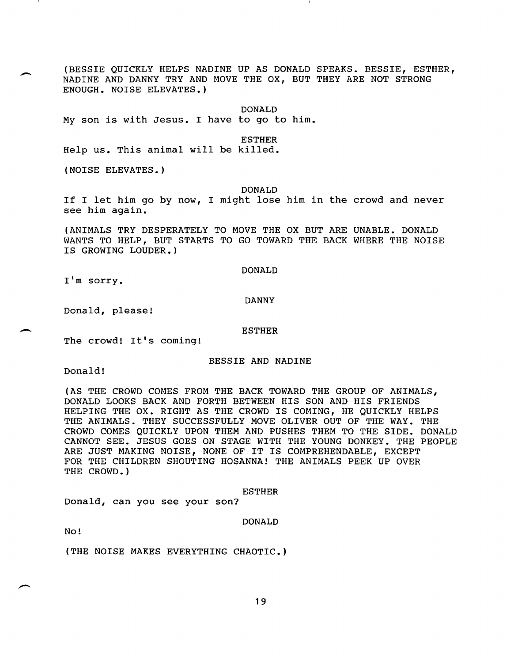(BESSIE QUICKLY HELPS NADINE UP AS DONALD SPEAKS. BESSIE, ESTHER, NADINE AND DANNY TRY AND MOVE THE OX, BUT THEY ARE NOT STRONG ENOUGH. NOISE ELEVATES.)

DONALD

My son is with Jesus. I have to go to him.

ESTHER

Help us. This animal will be killed.

(NOISE ELEVATES.)

#### DONALD

If I let him go by now, I might lose him in the crowd and never see him again.

(ANIMALS TRY DESPERATELY TO MOVE THE OX BUT ARE UNABLE. DONALD WANTS TO HELP, BUT STARTS TO GO TOWARD THE BACK WHERE THE NOISE IS GROWING LOUDER.)

#### DONALD

I'm sorry.

#### DANNY

Donald, please!

#### ESTHER

The crowd! It's coming!

# BESSIE AND NADINE

Donald!

(AS THE CROWD COMES FROM THE BACK TOWARD THE GROUP OF ANIMALS, DONALD LOOKS BACK AND FORTH BETWEEN HIS SON AND HIS FRIENDS HELPING THE OX. RIGHT AS THE CROWD IS COMING, HE QUICKLY HELPS THE ANIMALS. THEY SUCCESSFULLY MOVE OLIVER OUT OF THE WAY. THE CROWD COMES QUICKLY UPON THEM AND PUSHES THEM TO THE SIDE. DONALD CANNOT SEE. JESUS GOES ON STAGE WITH THE YOUNG DONKEY. THE PEOPLE ARE JUST MAKING NOISE, NONE OF IT IS COMPREHENDABLE, EXCEPT FOR THE CHILDREN SHOUTING HOSANNA! THE ANIMALS PEEK UP OVER THE CROWD.)

#### ESTHER

Donald, can you see your son?

#### DONALD

No!

(THE NOISE MAKES EVERYTHING CHAOTIC.)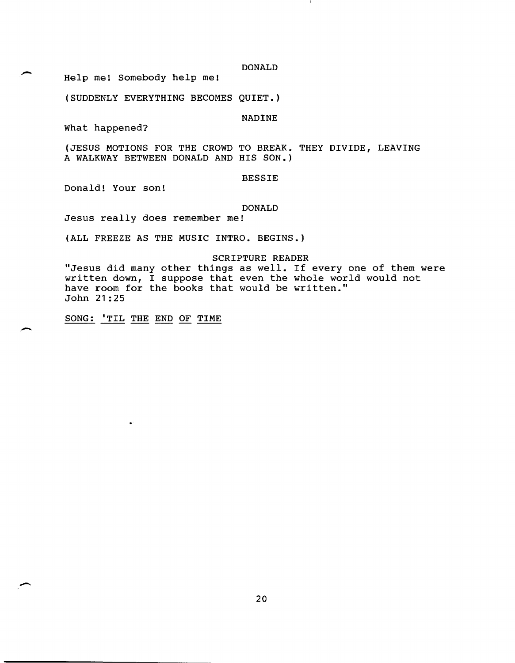DONALD

Help me! Somebody help me!

(SUDDENLY EVERYTHING BECOMES QUIET.)

NADINE

What happened?

(JESUS MOTIONS FOR THE CROWD TO BREAK. THEY DIVIDE, LEAVING A WALKWAY BETWEEN DONALD AND HIS SON.)

BESSIE

Donald! Your son!

.-

-

## DONALD

Jesus really does remember me!

(ALL FREEZE AS THE MUSIC INTRO. BEGINS.)

# SCRIPTURE READER

"Jesus did many other things as well. If every one of them were written down, I suppose that even the whole world would not have room for the books that would be written." John 21:25

SONG: 'TIL THE END OF TIME